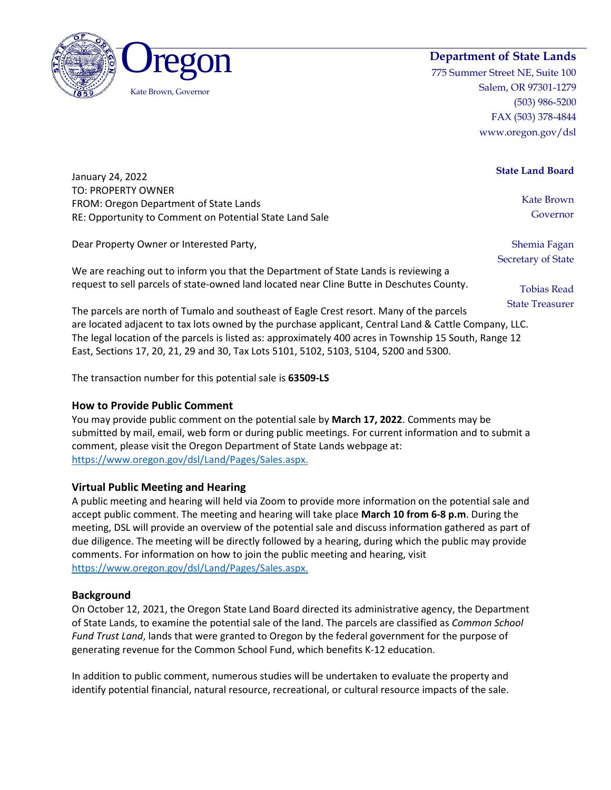



775 Summer Street NE, Suite 100 Salem, OR 97301-1279 (503) 986-5200 FAX (503) 378-4844 www.oregon.gov/dsl

|  | <b>State Land Board</b> |
|--|-------------------------|
|  |                         |

January 24, 2022 TO: PROPERTY OWNER FROM: Oregon Department of State Lands RE: Opportunity to Comment on Potential State Land Sale

Dear Property Owner or Interested Party,

We are reaching out to inform you that the Department of State Lands is reviewing a request to sell parcels of state-owned land located near Cline Butte in Deschutes County. Kate Brown Governor

Shemia Fagan Secretary of State

> Tobias Read State Treasurer

The parcels are north of Tumalo and southeast of Eagle Crest resort. Many of the parcels are located adjacent to tax lots owned by the purchase applicant, Central Land & Cattle Company, LLC. The legal location of the parcels is listed as: approximately 400 acres in Township 15 South, Range 12 East, Sections 17, 20, 21, 29 and 30, Tax Lots 5101, 5102, 5103, 5104, 5200 and 5300.

The transaction number for this potential sale is **63509-LS**

## **How to Provide Public Comment**

You may provide public comment on the potential sale by **March 17, 2022**. Comments may be submitted by mail, email, web form or during public meetings. For current information and to submit a comment, please visit the Oregon Department of State Lands webpage at: [https://www.oregon.gov/dsl/Land/Pages/Sales.aspx.](https://www.oregon.gov/dsl/Land/Pages/Sales.aspx)

## **Virtual Public Meeting and Hearing**

A public meeting and hearing will held via Zoom to provide more information on the potential sale and accept public comment. The meeting and hearing will take place **March 10 from 6-8 p.m**. During the meeting, DSL will provide an overview of the potential sale and discuss information gathered as part of due diligence. The meeting will be directly followed by a hearing, during which the public may provide comments. For information on how to join the public meeting and hearing, visit [https://www.oregon.gov/dsl/Land/Pages/Sales.aspx.](https://www.oregon.gov/dsl/Land/Pages/Sales.aspx)

## **Background**

On October 12, 2021, the Oregon State Land Board directed its administrative agency, the Department of State Lands, to examine the potential sale of the land. The parcels are classified as *Common School Fund Trust Land*, lands that were granted to Oregon by the federal government for the purpose of generating revenue for the Common School Fund, which benefits K-12 education.

In addition to public comment, numerous studies will be undertaken to evaluate the property and identify potential financial, natural resource, recreational, or cultural resource impacts of the sale.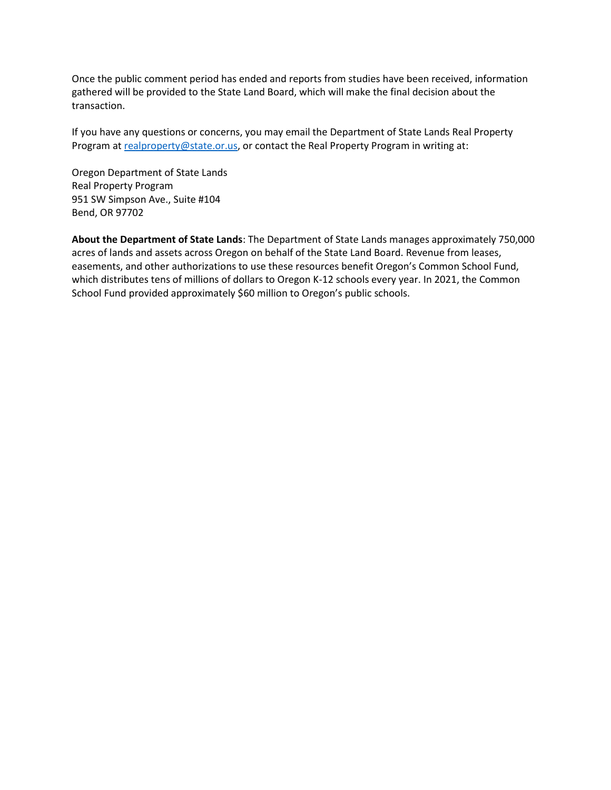Once the public comment period has ended and reports from studies have been received, information gathered will be provided to the State Land Board, which will make the final decision about the transaction.

If you have any questions or concerns, you may email the Department of State Lands Real Property Program at [realproperty@state.or.us,](mailto:realproperty@state.or.us) or contact the Real Property Program in writing at:

Oregon Department of State Lands Real Property Program 951 SW Simpson Ave., Suite #104 Bend, OR 97702

**About the Department of State Lands**: The Department of State Lands manages approximately 750,000 acres of lands and assets across Oregon on behalf of the State Land Board. Revenue from leases, easements, and other authorizations to use these resources benefit Oregon's Common School Fund, which distributes tens of millions of dollars to Oregon K-12 schools every year. In 2021, the Common School Fund provided approximately \$60 million to Oregon's public schools.